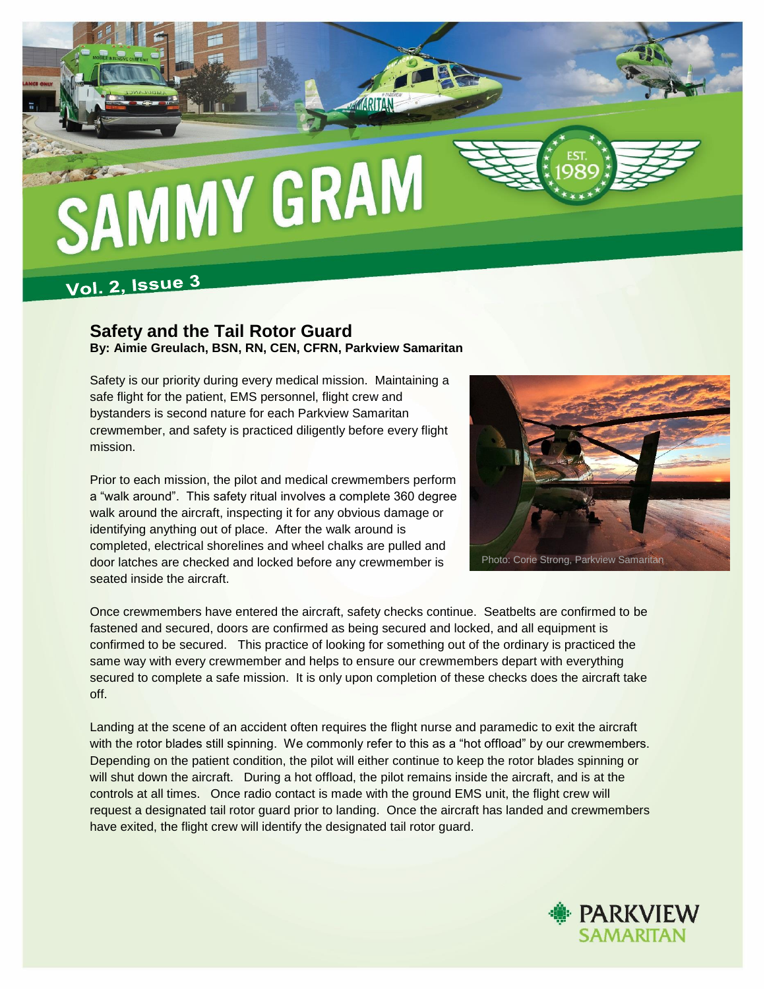

## **Vol. 2, Issue 3**

## **Safety and the Tail Rotor Guard By: Aimie Greulach, BSN, RN, CEN, CFRN, Parkview Samaritan**

Safety is our priority during every medical mission. Maintaining a safe flight for the patient, EMS personnel, flight crew and bystanders is second nature for each Parkview Samaritan crewmember, and safety is practiced diligently before every flight mission.

Prior to each mission, the pilot and medical crewmembers perform a "walk around". This safety ritual involves a complete 360 degree walk around the aircraft, inspecting it for any obvious damage or identifying anything out of place. After the walk around is completed, electrical shorelines and wheel chalks are pulled and door latches are checked and locked before any crewmember is seated inside the aircraft.



Once crewmembers have entered the aircraft, safety checks continue. Seatbelts are confirmed to be fastened and secured, doors are confirmed as being secured and locked, and all equipment is confirmed to be secured. This practice of looking for something out of the ordinary is practiced the same way with every crewmember and helps to ensure our crewmembers depart with everything secured to complete a safe mission. It is only upon completion of these checks does the aircraft take off.

Landing at the scene of an accident often requires the flight nurse and paramedic to exit the aircraft with the rotor blades still spinning. We commonly refer to this as a "hot offload" by our crewmembers. Depending on the patient condition, the pilot will either continue to keep the rotor blades spinning or will shut down the aircraft. During a hot offload, the pilot remains inside the aircraft, and is at the controls at all times. Once radio contact is made with the ground EMS unit, the flight crew will request a designated tail rotor guard prior to landing. Once the aircraft has landed and crewmembers have exited, the flight crew will identify the designated tail rotor guard.